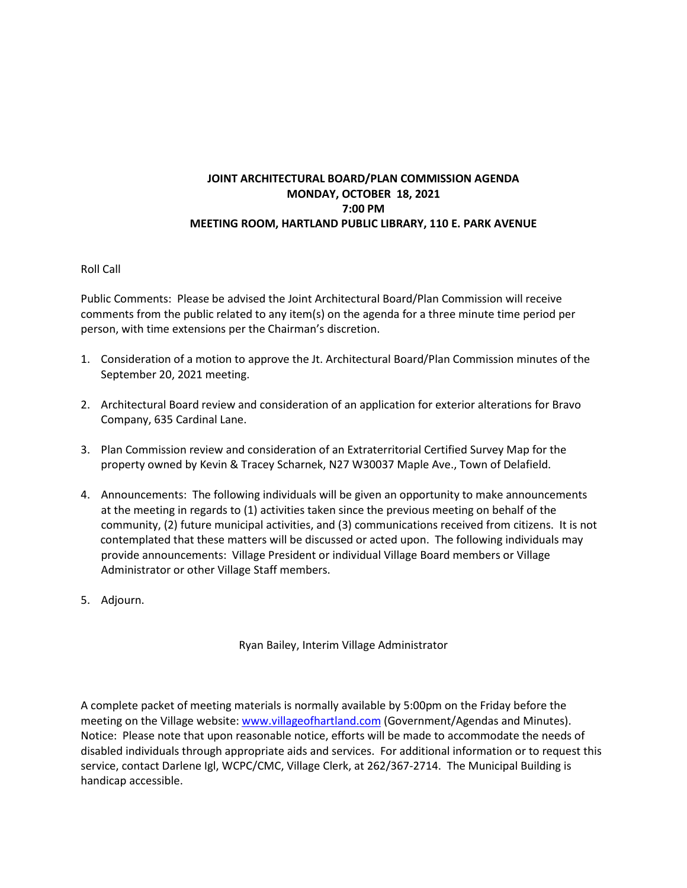## **JOINT ARCHITECTURAL BOARD/PLAN COMMISSION AGENDA MONDAY, OCTOBER 18, 2021 7:00 PM MEETING ROOM, HARTLAND PUBLIC LIBRARY, 110 E. PARK AVENUE**

## Roll Call

Public Comments: Please be advised the Joint Architectural Board/Plan Commission will receive comments from the public related to any item(s) on the agenda for a three minute time period per person, with time extensions per the Chairman's discretion.

- 1. Consideration of a motion to approve the Jt. Architectural Board/Plan Commission minutes of the September 20, 2021 meeting.
- 2. Architectural Board review and consideration of an application for exterior alterations for Bravo Company, 635 Cardinal Lane.
- 3. Plan Commission review and consideration of an Extraterritorial Certified Survey Map for the property owned by Kevin & Tracey Scharnek, N27 W30037 Maple Ave., Town of Delafield.
- 4. Announcements: The following individuals will be given an opportunity to make announcements at the meeting in regards to (1) activities taken since the previous meeting on behalf of the community, (2) future municipal activities, and (3) communications received from citizens. It is not contemplated that these matters will be discussed or acted upon. The following individuals may provide announcements: Village President or individual Village Board members or Village Administrator or other Village Staff members.
- 5. Adjourn.

Ryan Bailey, Interim Village Administrator

A complete packet of meeting materials is normally available by 5:00pm on the Friday before the meeting on the Village website[: www.villageofhartland.com](http://www.villageofhartland.com/index.aspx?nid=103) (Government/Agendas and Minutes). Notice: Please note that upon reasonable notice, efforts will be made to accommodate the needs of disabled individuals through appropriate aids and services. For additional information or to request this service, contact Darlene Igl, WCPC/CMC, Village Clerk, at 262/367-2714. The Municipal Building is handicap accessible.